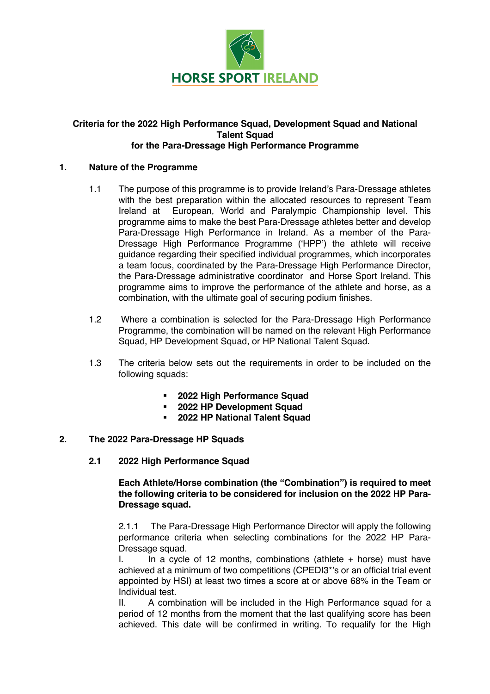

#### **Criteria for the 2022 High Performance Squad, Development Squad and National Talent Squad for the Para-Dressage High Performance Programme**

#### **1. Nature of the Programme**

- 1.1 The purpose of this programme is to provide Ireland's Para-Dressage athletes with the best preparation within the allocated resources to represent Team Ireland at European, World and Paralympic Championship level. This programme aims to make the best Para-Dressage athletes better and develop Para-Dressage High Performance in Ireland. As a member of the Para-Dressage High Performance Programme ('HPP') the athlete will receive guidance regarding their specified individual programmes, which incorporates a team focus, coordinated by the Para-Dressage High Performance Director, the Para-Dressage administrative coordinator and Horse Sport Ireland. This programme aims to improve the performance of the athlete and horse, as a combination, with the ultimate goal of securing podium finishes.
- 1.2 Where a combination is selected for the Para-Dressage High Performance Programme, the combination will be named on the relevant High Performance Squad, HP Development Squad, or HP National Talent Squad.
- 1.3 The criteria below sets out the requirements in order to be included on the following squads:
	- § **2022 High Performance Squad**
	- § **2022 HP Development Squad**
	- § **2022 HP National Talent Squad**

## **2. The 2022 Para-Dressage HP Squads**

### **2.1 2022 High Performance Squad**

**Each Athlete/Horse combination (the "Combination") is required to meet the following criteria to be considered for inclusion on the 2022 HP Para-Dressage squad.** 

2.1.1 The Para-Dressage High Performance Director will apply the following performance criteria when selecting combinations for the 2022 HP Para-Dressage squad.

 $I.$  In a cycle of 12 months, combinations (athlete  $+$  horse) must have achieved at a minimum of two competitions (CPEDI3\*'s or an official trial event appointed by HSI) at least two times a score at or above 68% in the Team or Individual test.

II. A combination will be included in the High Performance squad for a period of 12 months from the moment that the last qualifying score has been achieved. This date will be confirmed in writing. To requalify for the High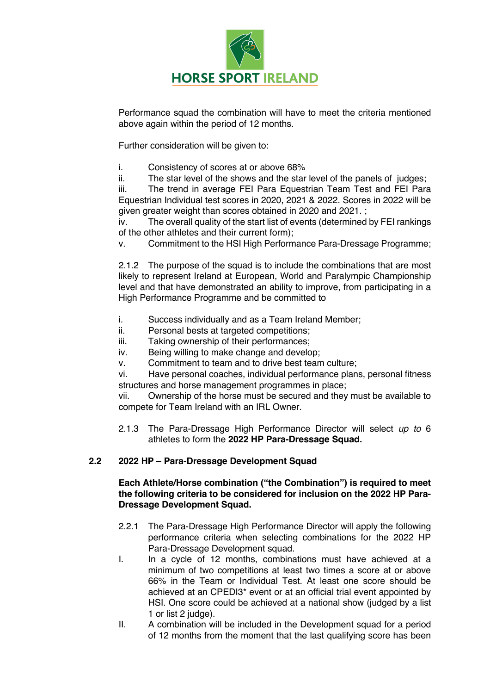

Performance squad the combination will have to meet the criteria mentioned above again within the period of 12 months.

Further consideration will be given to:

- i. Consistency of scores at or above 68%
- ii. The star level of the shows and the star level of the panels of judges;

iii. The trend in average FEI Para Equestrian Team Test and FEI Para Equestrian Individual test scores in 2020, 2021 & 2022. Scores in 2022 will be given greater weight than scores obtained in 2020 and 2021. ;

iv. The overall quality of the start list of events (determined by FEI rankings of the other athletes and their current form);

v. Commitment to the HSI High Performance Para-Dressage Programme;

2.1.2 The purpose of the squad is to include the combinations that are most likely to represent Ireland at European, World and Paralympic Championship level and that have demonstrated an ability to improve, from participating in a High Performance Programme and be committed to

- i. Success individually and as a Team Ireland Member;
- ii. Personal bests at targeted competitions;
- iii. Taking ownership of their performances;
- iv. Being willing to make change and develop;
- v. Commitment to team and to drive best team culture;

vi. Have personal coaches, individual performance plans, personal fitness structures and horse management programmes in place;

vii. Ownership of the horse must be secured and they must be available to compete for Team Ireland with an IRL Owner.

2.1.3 The Para-Dressage High Performance Director will select *up to* 6 athletes to form the **2022 HP Para-Dressage Squad.** 

# **2.2 2022 HP – Para-Dressage Development Squad**

### **Each Athlete/Horse combination ("the Combination") is required to meet the following criteria to be considered for inclusion on the 2022 HP Para-Dressage Development Squad.**

- 2.2.1 The Para-Dressage High Performance Director will apply the following performance criteria when selecting combinations for the 2022 HP Para-Dressage Development squad.
- I. In a cycle of 12 months, combinations must have achieved at a minimum of two competitions at least two times a score at or above 66% in the Team or Individual Test. At least one score should be achieved at an CPEDI3\* event or at an official trial event appointed by HSI. One score could be achieved at a national show (judged by a list 1 or list 2 judge).
- II. A combination will be included in the Development squad for a period of 12 months from the moment that the last qualifying score has been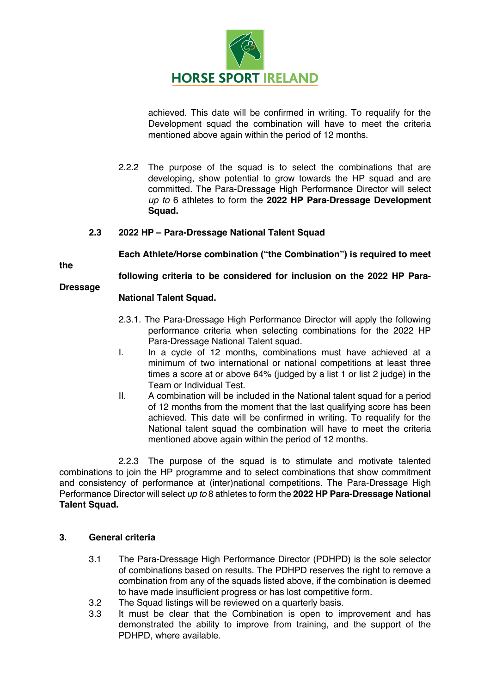

achieved. This date will be confirmed in writing. To requalify for the Development squad the combination will have to meet the criteria mentioned above again within the period of 12 months.

2.2.2 The purpose of the squad is to select the combinations that are developing, show potential to grow towards the HP squad and are committed. The Para-Dressage High Performance Director will select *up to* 6 athletes to form the **2022 HP Para-Dressage Development Squad.** 

### **2.3 2022 HP – Para-Dressage National Talent Squad**

**Each Athlete/Horse combination ("the Combination") is required to meet** 

**the** 

**following criteria to be considered for inclusion on the 2022 HP Para-**

**Dressage** 

## **National Talent Squad.**

- 2.3.1. The Para-Dressage High Performance Director will apply the following performance criteria when selecting combinations for the 2022 HP Para-Dressage National Talent squad.
- I. In a cycle of 12 months, combinations must have achieved at a minimum of two international or national competitions at least three times a score at or above 64% (judged by a list 1 or list 2 judge) in the Team or Individual Test.
- II. A combination will be included in the National talent squad for a period of 12 months from the moment that the last qualifying score has been achieved. This date will be confirmed in writing. To requalify for the National talent squad the combination will have to meet the criteria mentioned above again within the period of 12 months.

2.2.3 The purpose of the squad is to stimulate and motivate talented combinations to join the HP programme and to select combinations that show commitment and consistency of performance at (inter)national competitions. The Para-Dressage High Performance Director will select *up to* 8 athletes to form the **2022 HP Para-Dressage National Talent Squad.**

# **3. General criteria**

- 3.1 The Para-Dressage High Performance Director (PDHPD) is the sole selector of combinations based on results. The PDHPD reserves the right to remove a combination from any of the squads listed above, if the combination is deemed to have made insufficient progress or has lost competitive form.
- 3.2 The Squad listings will be reviewed on a quarterly basis.
- 3.3 It must be clear that the Combination is open to improvement and has demonstrated the ability to improve from training, and the support of the PDHPD, where available.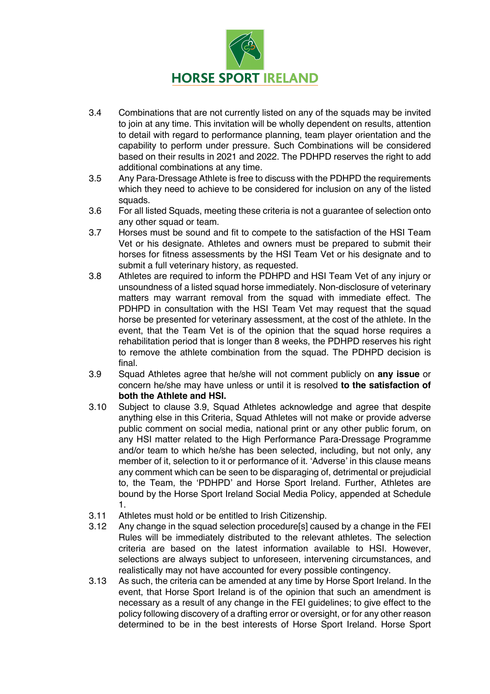

- 3.4 Combinations that are not currently listed on any of the squads may be invited to join at any time. This invitation will be wholly dependent on results, attention to detail with regard to performance planning, team player orientation and the capability to perform under pressure. Such Combinations will be considered based on their results in 2021 and 2022. The PDHPD reserves the right to add additional combinations at any time.
- 3.5 Any Para-Dressage Athlete is free to discuss with the PDHPD the requirements which they need to achieve to be considered for inclusion on any of the listed squads.
- 3.6 For all listed Squads, meeting these criteria is not a guarantee of selection onto any other squad or team.
- 3.7 Horses must be sound and fit to compete to the satisfaction of the HSI Team Vet or his designate. Athletes and owners must be prepared to submit their horses for fitness assessments by the HSI Team Vet or his designate and to submit a full veterinary history, as requested.
- 3.8 Athletes are required to inform the PDHPD and HSI Team Vet of any injury or unsoundness of a listed squad horse immediately. Non-disclosure of veterinary matters may warrant removal from the squad with immediate effect. The PDHPD in consultation with the HSI Team Vet may request that the squad horse be presented for veterinary assessment, at the cost of the athlete. In the event, that the Team Vet is of the opinion that the squad horse requires a rehabilitation period that is longer than 8 weeks, the PDHPD reserves his right to remove the athlete combination from the squad. The PDHPD decision is final.
- 3.9 Squad Athletes agree that he/she will not comment publicly on **any issue** or concern he/she may have unless or until it is resolved **to the satisfaction of both the Athlete and HSI.**
- 3.10 Subject to clause 3.9, Squad Athletes acknowledge and agree that despite anything else in this Criteria, Squad Athletes will not make or provide adverse public comment on social media, national print or any other public forum, on any HSI matter related to the High Performance Para-Dressage Programme and/or team to which he/she has been selected, including, but not only, any member of it, selection to it or performance of it. 'Adverse' in this clause means any comment which can be seen to be disparaging of, detrimental or prejudicial to, the Team, the 'PDHPD' and Horse Sport Ireland. Further, Athletes are bound by the Horse Sport Ireland Social Media Policy, appended at Schedule 1.
- 3.11 Athletes must hold or be entitled to Irish Citizenship.
- 3.12 Any change in the squad selection procedure[s] caused by a change in the FEI Rules will be immediately distributed to the relevant athletes. The selection criteria are based on the latest information available to HSI. However, selections are always subject to unforeseen, intervening circumstances, and realistically may not have accounted for every possible contingency.
- 3.13 As such, the criteria can be amended at any time by Horse Sport Ireland. In the event, that Horse Sport Ireland is of the opinion that such an amendment is necessary as a result of any change in the FEI guidelines; to give effect to the policy following discovery of a drafting error or oversight, or for any other reason determined to be in the best interests of Horse Sport Ireland. Horse Sport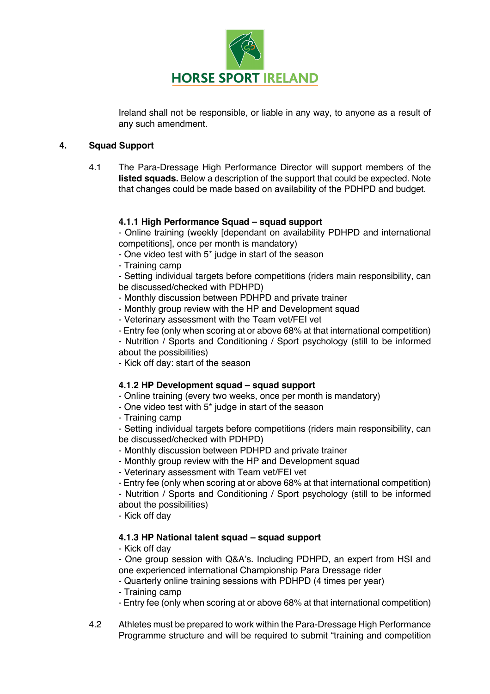

Ireland shall not be responsible, or liable in any way, to anyone as a result of any such amendment.

### **4. Squad Support**

4.1 The Para-Dressage High Performance Director will support members of the **listed squads.** Below a description of the support that could be expected. Note that changes could be made based on availability of the PDHPD and budget.

## **4.1.1 High Performance Squad – squad support**

- Online training (weekly [dependant on availability PDHPD and international competitions], once per month is mandatory)

- One video test with 5\* judge in start of the season
- Training camp

- Setting individual targets before competitions (riders main responsibility, can be discussed/checked with PDHPD)

- Monthly discussion between PDHPD and private trainer
- Monthly group review with the HP and Development squad
- Veterinary assessment with the Team vet/FEI vet
- Entry fee (only when scoring at or above 68% at that international competition)

- Nutrition / Sports and Conditioning / Sport psychology (still to be informed about the possibilities)

- Kick off day: start of the season

# **4.1.2 HP Development squad – squad support**

- Online training (every two weeks, once per month is mandatory)
- One video test with 5\* judge in start of the season
- Training camp

- Setting individual targets before competitions (riders main responsibility, can be discussed/checked with PDHPD)

- Monthly discussion between PDHPD and private trainer
- Monthly group review with the HP and Development squad
- Veterinary assessment with Team vet/FEI vet
- Entry fee (only when scoring at or above 68% at that international competition)

- Nutrition / Sports and Conditioning / Sport psychology (still to be informed about the possibilities)

- Kick off day

# **4.1.3 HP National talent squad – squad support**

- Kick off day

- One group session with Q&A's. Including PDHPD, an expert from HSI and one experienced international Championship Para Dressage rider

- Quarterly online training sessions with PDHPD (4 times per year)
- Training camp
- Entry fee (only when scoring at or above 68% at that international competition)
- 4.2 Athletes must be prepared to work within the Para-Dressage High Performance Programme structure and will be required to submit "training and competition